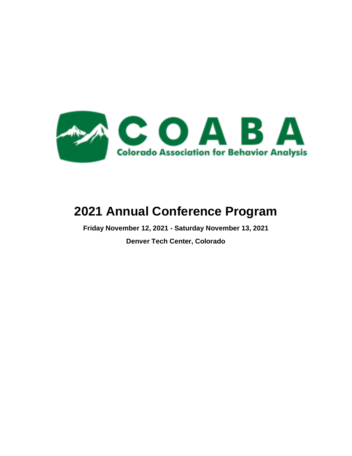

# **2021 Annual Conference Program**

**Friday November 12, 2021 - Saturday November 13, 2021 Denver Tech Center, Colorado**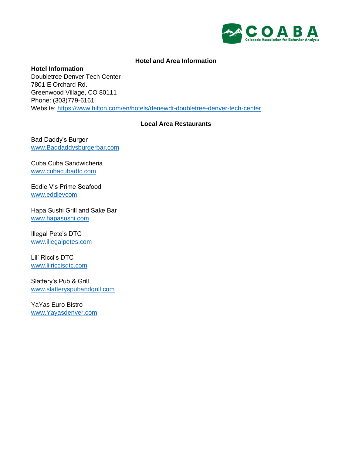

## **Hotel and Area Information**

**Hotel Information** Doubletree Denver Tech Center 7801 E Orchard Rd. Greenwood Village, CO 80111 Phone: (303)779-6161 Website:<https://www.hilton.com/en/hotels/denewdt-doubletree-denver-tech-center>

# **Local Area Restaurants**

Bad Daddy's Burger [www.Baddaddysburgerbar.com](http://www.baddaddysburgerbar.com/)

Cuba Cuba Sandwicheria [www.cubacubadtc.com](http://www.cubacubadtc.com/)

Eddie V's Prime Seafood [www.eddievcom](http://www.eddievcom/)

Hapa Sushi Grill and Sake Bar [www.hapasushi.com](http://www.hapasushi.com/)

Illegal Pete's DTC [www.illegalpetes.com](http://www.illegalpetes.com/)

Lil' Ricci's DTC [www.lilriccisdtc.com](http://www.lilriccisdtc.com/)

Slattery's Pub & Grill [www.slatteryspubandgrill.com](http://www.slatteryspubandgrill.com/)

YaYas Euro Bistro [www.Yayasdenver.com](http://www.yayasdenver.com/)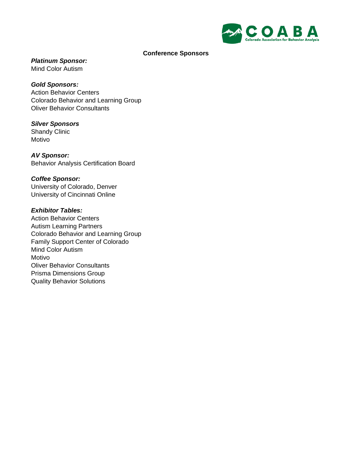

## **Conference Sponsors**

*Platinum Sponsor:*

Mind Color Autism

*Gold Sponsors:* Action Behavior Centers Colorado Behavior and Learning Group Oliver Behavior Consultants

# *Silver Sponsors* Shandy Clinic

Motivo

*AV Sponsor:* Behavior Analysis Certification Board

*Coffee Sponsor:* University of Colorado, Denver University of Cincinnati Online

# *Exhibitor Tables:*

Action Behavior Centers Autism Learning Partners Colorado Behavior and Learning Group Family Support Center of Colorado Mind Color Autism Motivo Oliver Behavior Consultants Prisma Dimensions Group Quality Behavior Solutions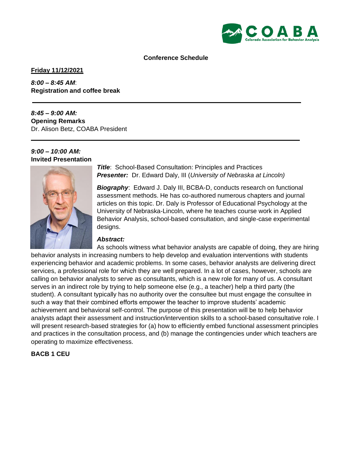

#### **Conference Schedule**

**Friday 11/12/2021**

*8:00 – 8:45 AM*: **Registration and coffee break**

*8:45 – 9:00 AM:*  **Opening Remarks**  Dr. Alison Betz, COABA President

#### *9:00 – 10:00 AM:*  **Invited Presentation**



*Title*: School-Based Consultation: Principles and Practices *Presenter:* Dr. Edward Daly, III (*University of Nebraska at Lincoln)*

*Biography*: Edward J. Daly III, BCBA-D, conducts research on functional assessment methods. He has co-authored numerous chapters and journal articles on this topic. Dr. Daly is Professor of Educational Psychology at the University of Nebraska-Lincoln, where he teaches course work in Applied Behavior Analysis, school-based consultation, and single-case experimental designs.

### *Abstract:*

As schools witness what behavior analysts are capable of doing, they are hiring behavior analysts in increasing numbers to help develop and evaluation interventions with students experiencing behavior and academic problems. In some cases, behavior analysts are delivering direct services, a professional role for which they are well prepared. In a lot of cases, however, schools are calling on behavior analysts to serve as consultants, which is a new role for many of us. A consultant serves in an indirect role by trying to help someone else (e.g., a teacher) help a third party (the student). A consultant typically has no authority over the consultee but must engage the consultee in such a way that their combined efforts empower the teacher to improve students' academic achievement and behavioral self-control. The purpose of this presentation will be to help behavior analysts adapt their assessment and instruction/intervention skills to a school-based consultative role. I will present research-based strategies for (a) how to efficiently embed functional assessment principles and practices in the consultation process, and (b) manage the contingencies under which teachers are operating to maximize effectiveness.

# **BACB 1 CEU**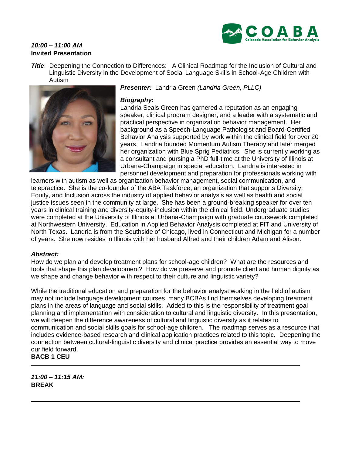

# *10:00 – 11:00 AM* **Invited Presentation**

**Title:** Deepening the Connection to Differences: A Clinical Roadmap for the Inclusion of Cultural and Linguistic Diversity in the Development of Social Language Skills in School-Age Children with Autism



*Presenter:* Landria Green *(Landria Green, PLLC)*

# *Biography:*

Landria Seals Green has garnered a reputation as an engaging speaker, clinical program designer, and a leader with a systematic and practical perspective in organization behavior management. Her background as a Speech-Language Pathologist and Board-Certified Behavior Analysis supported by work within the clinical field for over 20 years. Landria founded Momentum Autism Therapy and later merged her organization with Blue Sprig Pediatrics. She is currently working as a consultant and pursing a PhD full-time at the University of Illinois at Urbana-Champaign in special education. Landria is interested in personnel development and preparation for professionals working with

learners with autism as well as organization behavior management, social communication, and telepractice. She is the co-founder of the ABA Taskforce, an organization that supports Diversity, Equity, and Inclusion across the industry of applied behavior analysis as well as health and social justice issues seen in the community at large. She has been a ground-breaking speaker for over ten years in clinical training and diversity-equity-inclusion within the clinical field. Undergraduate studies were completed at the University of Illinois at Urbana-Champaign with graduate coursework completed at Northwestern University. Education in Applied Behavior Analysis completed at FIT and University of North Texas. Landria is from the Southside of Chicago, lived in Connecticut and Michigan for a number of years. She now resides in Illinois with her husband Alfred and their children Adam and Alison.

### *Abstract:*

How do we plan and develop treatment plans for school-age children? What are the resources and tools that shape this plan development? How do we preserve and promote client and human dignity as we shape and change behavior with respect to their culture and linguistic variety?

While the traditional education and preparation for the behavior analyst working in the field of autism may not include language development courses, many BCBAs find themselves developing treatment plans in the areas of language and social skills. Added to this is the responsibility of treatment goal planning and implementation with consideration to cultural and linguistic diversity. In this presentation, we will deepen the difference awareness of cultural and linguistic diversity as it relates to communication and social skills goals for school-age children. The roadmap serves as a resource that includes evidence-based research and clinical application practices related to this topic. Deepening the connection between cultural-linguistic diversity and clinical practice provides an essential way to move our field forward. **BACB 1 CEU**

*11:00 – 11:15 AM:* **BREAK**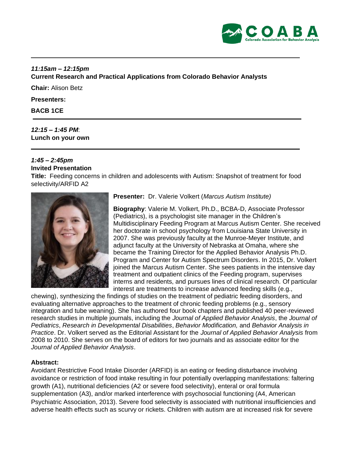

# *11:15am – 12:15pm*

**Current Research and Practical Applications from Colorado Behavior Analysts** 

**Chair:** Alison Betz

**Presenters:** 

#### **BACB 1CE**

## *12:15 – 1:45 PM*: **Lunch on your own**

## *1:45 – 2:45pm* **Invited Presentation**

**Title:** Feeding concerns in children and adolescents with Autism: Snapshot of treatment for food selectivity/ARFID A2



**Presenter:** Dr. Valerie Volkert (*Marcus Autism Institute)*

**Biography**: Valerie M. Volkert, Ph.D., BCBA-D, Associate Professor (Pediatrics), is a psychologist site manager in the Children's Multidisciplinary Feeding Program at Marcus Autism Center. She received her doctorate in school psychology from Louisiana State University in 2007. She was previously faculty at the Munroe-Meyer Institute, and adjunct faculty at the University of Nebraska at Omaha, where she became the Training Director for the Applied Behavior Analysis Ph.D. Program and Center for Autism Spectrum Disorders. In 2015, Dr. Volkert joined the Marcus Autism Center. She sees patients in the intensive day treatment and outpatient clinics of the Feeding program, supervises interns and residents, and pursues lines of clinical research. Of particular interest are treatments to increase advanced feeding skills (e.g.,

chewing), synthesizing the findings of studies on the treatment of pediatric feeding disorders, and evaluating alternative approaches to the treatment of chronic feeding problems (e.g., sensory integration and tube weaning). She has authored four book chapters and published 40 peer-reviewed research studies in multiple journals, including the *Journal of Applied Behavior Analysis*, the *Journal of Pediatrics*, *Research in Developmental Disabilities*, *Behavior Modification,* and *Behavior Analysis in Practice*. Dr. Volkert served as the Editorial Assistant for the *Journal of Applied Behavior Analysis* from 2008 to 2010. She serves on the board of editors for two journals and as associate editor for the *Journal of Applied Behavior Analysis*.

# **Abstract:**

Avoidant Restrictive Food Intake Disorder (ARFID) is an eating or feeding disturbance involving avoidance or restriction of food intake resulting in four potentially overlapping manifestations: faltering growth (A1), nutritional deficiencies (A2 or severe food selectivity), enteral or oral formula supplementation (A3), and/or marked interference with psychosocial functioning (A4, American Psychiatric Association, 2013). Severe food selectivity is associated with nutritional insufficiencies and adverse health effects such as scurvy or rickets. Children with autism are at increased risk for severe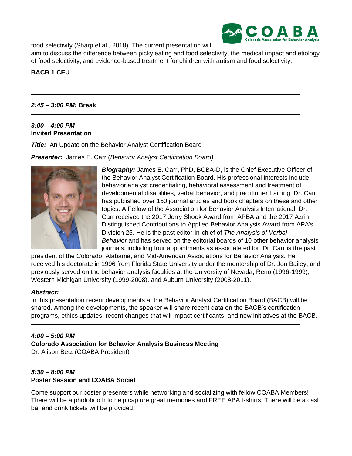food selectivity (Sharp et al., 2018). The current presentation will



aim to discuss the difference between picky eating and food selectivity, the medical impact and etiology of food selectivity, and evidence-based treatment for children with autism and food selectivity.

# **BACB 1 CEU**

# *2:45 – 3:00 PM:* **Break**

# *3:00 – 4:00 PM* **Invited Presentation**

*Title:* An Update on the Behavior Analyst Certification Board

*Presenter:* James E. Carr (*Behavior Analyst Certification Board)*



*Biography:* James E. Carr, PhD, BCBA-D, is the Chief Executive Officer of the Behavior Analyst Certification Board. His professional interests include behavior analyst credentialing, behavioral assessment and treatment of developmental disabilities, verbal behavior, and practitioner training. Dr. Carr has published over 150 journal articles and book chapters on these and other topics. A Fellow of the Association for Behavior Analysis International, Dr. Carr received the 2017 Jerry Shook Award from APBA and the 2017 Azrin Distinguished Contributions to Applied Behavior Analysis Award from APA's Division 25. He is the past editor-in-chief of *The Analysis of Verbal Behavior* and has served on the editorial boards of 10 other behavior analysis journals, including four appointments as associate editor. Dr. Carr is the past

president of the Colorado, Alabama, and Mid-American Associations for Behavior Analysis. He received his doctorate in 1996 from Florida State University under the mentorship of Dr. Jon Bailey, and previously served on the behavior analysis faculties at the University of Nevada, Reno (1996-1999), Western Michigan University (1999-2008), and Auburn University (2008-2011).

# *Abstract:*

In this presentation recent developments at the Behavior Analyst Certification Board (BACB) will be shared. Among the developments, the speaker will share recent data on the BACB's certification programs, ethics updates, recent changes that will impact certificants, and new initiatives at the BACB.

# *4:00 – 5:00 PM* **Colorado Association for Behavior Analysis Business Meeting** Dr. Alison Betz (COABA President)

# *5:30 – 8:00 PM* **Poster Session and COABA Social**

Come support our poster presenters while networking and socializing with fellow COABA Members! There will be a photobooth to help capture great memories and FREE ABA t-shirts! There will be a cash bar and drink tickets will be provided!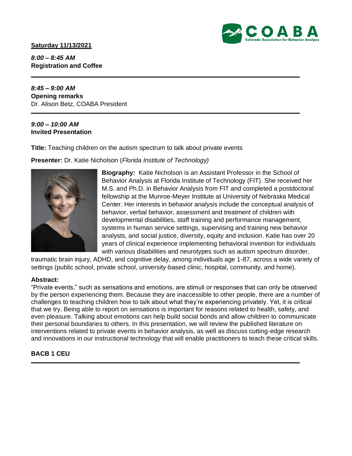## **Saturday 11/13/2021**



*8:00 – 8:45 AM* **Registration and Coffee**

*8:45 – 9:00 AM* **Opening remarks** Dr. Alison Betz, COABA President

## *9:00 – 10:00 AM* **Invited Presentation**

**Title:** Teaching children on the autism spectrum to talk about private events

**Presenter:** Dr. Katie Nicholson (*Florida Institute of Technology)*



**Biography:** Katie Nicholson is an Assistant Professor in the School of Behavior Analysis at Florida Institute of Technology (FIT). She received her M.S. and Ph.D. in Behavior Analysis from FIT and completed a postdoctoral fellowship at the Munroe-Meyer Institute at University of Nebraska Medical Center. Her interests in behavior analysis include the conceptual analysis of behavior, verbal behavior, assessment and treatment of children with developmental disabilities, staff training and performance management, systems in human service settings, supervising and training new behavior analysts, and social justice, diversity, equity and inclusion. Katie has over 20 years of clinical experience implementing behavioral invention for individuals with various disabilities and neurotypes such as autism spectrum disorder,

traumatic brain injury, ADHD, and cognitive delay, among individuals age 1-87, across a wide variety of settings (public school, private school, university-based clinic, hospital, community, and home).

# **Abstract:**

"Private events," such as sensations and emotions, are stimuli or responses that can only be observed by the person experiencing them. Because they are inaccessible to other people, there are a number of challenges to teaching children how to talk about what they're experiencing privately. Yet, it is critical that we try. Being able to report on sensations is important for reasons related to health, safety, and even pleasure. Talking about emotions can help build social bonds and allow children to communicate their personal boundaries to others. In this presentation, we will review the published literature on interventions related to private events in behavior analysis, as well as discuss cutting-edge research and innovations in our instructional technology that will enable practitioners to teach these critical skills.

# **BACB 1 CEU**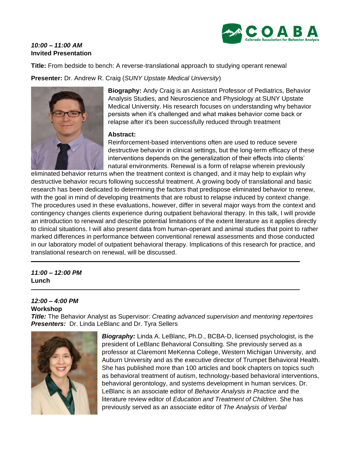# *10:00 – 11:00 AM* **Invited Presentation**



**Title:** From bedside to bench: A reverse-translational approach to studying operant renewal

**Presenter:** Dr. Andrew R. Craig (*SUNY Upstate Medical University*)



**Biography:** Andy Craig is an Assistant Professor of Pediatrics, Behavior Analysis Studies, and Neuroscience and Physiology at SUNY Upstate Medical University. His research focuses on understanding why behavior persists when it's challenged and what makes behavior come back or relapse after it's been successfully reduced through treatment

## **Abstract:**

Reinforcement-based interventions often are used to reduce severe destructive behavior in clinical settings, but the long-term efficacy of these interventions depends on the generalization of their effects into clients' natural environments. Renewal is a form of relapse wherein previously

eliminated behavior returns when the treatment context is changed, and it may help to explain why destructive behavior recurs following successful treatment. A growing body of translational and basic research has been dedicated to determining the factors that predispose eliminated behavior to renew, with the goal in mind of developing treatments that are robust to relapse induced by context change. The procedures used in these evaluations, however, differ in several major ways from the context and contingency changes clients experience during outpatient behavioral therapy. In this talk, I will provide an introduction to renewal and describe potential limitations of the extent literature as it applies directly to clinical situations. I will also present data from human-operant and animal studies that point to rather marked differences in performance between conventional renewal assessments and those conducted in our laboratory model of outpatient behavioral therapy. Implications of this research for practice, and translational research on renewal, will be discussed.

# *11:00 – 12:00 PM* **Lunch**

## *12:00 – 4:00 PM* **Workshop**

*Title:* The Behavior Analyst as Supervisor: *Creating advanced supervision and mentoring repertoires Presenters:* Dr. Linda LeBlanc and Dr. Tyra Sellers



*Biography:* Linda A. LeBlanc, Ph.D., BCBA-D, licensed psychologist, is the president of LeBlanc Behavioral Consulting. She previously served as a professor at Claremont MeKenna College, Western Michigan University, and Auburn University and as the executive director of Trumpet Behavioral Health. She has published more than 100 articles and book chapters on topics such as behavioral treatment of autism, technology-based behavioral interventions, behavioral gerontology, and systems development in human services. Dr. LeBlanc is an associate editor of *Behavior Analysis in Practice* and the literature review editor of *Education and Treatment of Children.* She has previously served as an associate editor of *The Analysis of Verbal*